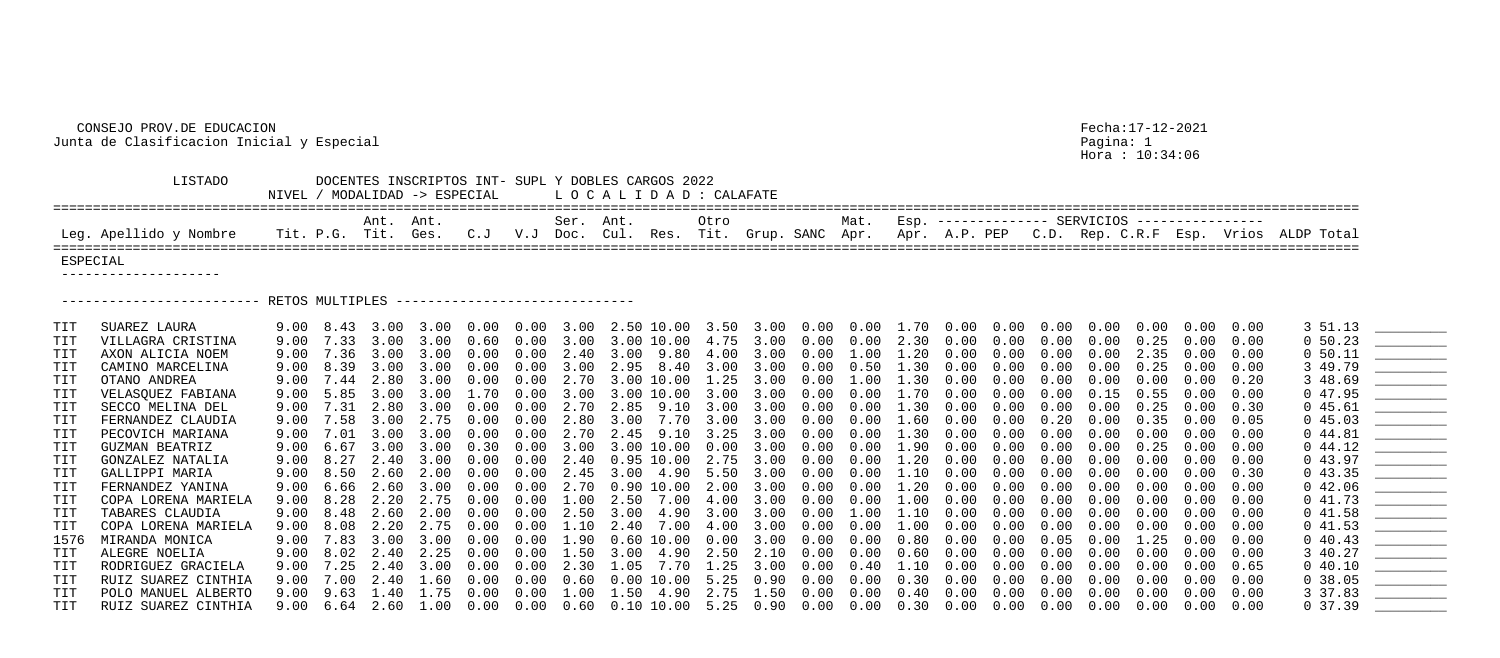## CONSEJO PROV.DE EDUCACION Fecha:17-12-2021 Junta de Clasificacion Inicial y Especial Pagina: 1

Hora : 10:34:06

| _ _ _ _ _                                                           |                                                   |  |  |  |  |  |
|---------------------------------------------------------------------|---------------------------------------------------|--|--|--|--|--|
|                                                                     | Mat. Esp. ------------- SERVICIOS --------------- |  |  |  |  |  |
| Grup. SANC Apr. Apr. A.P. PEP C.D. Rep. C.R.F Esp. Vrios ALDP Total |                                                   |  |  |  |  |  |
|                                                                     |                                                   |  |  |  |  |  |

 LISTADO DOCENTES INSCRIPTOS INT- SUPL Y DOBLES CARGOS 2022 NIVEL / MODALIDAD -> ESPECIAL L O C A L I D A D : CALAFATE ==================================================================================================================================================================== Ant. Ant. Ser. Ant. Otro Mat. Esp. -------------- SERVICIOS ---------------- Leg. Apellido y Nombre Tit. P.G. Tit. Ges. C.J V.J Doc. Cul. Res. Tit. ==================================================================================================================================================================== ESPECIAL -------------------- ----------------------- RETOS MULTIPLES -------------------------------TIT OTANO ANDREA 9.00 7.44 2.80 3.00 0.00 0.00 2.70 3.00 10.00 1.25 TIT RUIZ SUAREZ CINTHIA 9.00 6.64 2.60 1.00 0.00 0.00 0.60 0.10 10.00 5.25 0.90 0.00 0.00 0.30 0.00 0.00 0.00 0.00 0.00 0.00 0.00 0 37.39 \_\_\_\_\_\_\_\_\_

| TIT            | SUAREZ LAURA        |      |                   |           |           |            |               |               | 9.00 8.43 3.00 3.00 0.00 0.00 3.00 2.50 10.00 3.50 3.00 0.00 0.00 1.70 0.00 0.00 0.00 0.00 |      |                |      |               |             |                   |            |            |            |            | $0.00 \quad 0.00 \quad 0.00$ |      | 3 51.13    |  |
|----------------|---------------------|------|-------------------|-----------|-----------|------------|---------------|---------------|--------------------------------------------------------------------------------------------|------|----------------|------|---------------|-------------|-------------------|------------|------------|------------|------------|------------------------------|------|------------|--|
| $\mathtt{TIT}$ | VILLAGRA CRISTINA   |      | $9.00 \quad 7.33$ |           | 3.00 3.00 | 0.60       |               |               | $0.00$ 3.00 3.00 10.00 4.75 3.00 0.00                                                      |      |                |      | $0\,.\,00$    | 2.30        | 0.00              | $0\,.\,00$ | $0\,.\,00$ | 0.00       | 0.25       | 0.00                         | 0.00 | $0\,50.23$ |  |
|                | AXON ALICIA NOEM    | 9.00 | 7.36              | 3.00      | 3.00      | $0\,.\,00$ | $0\,.\,00$    |               | 2.40 3.00 9.80 4.00 3.00 0.00                                                              |      |                |      | $\ldots 00$ . | $1\ldotp20$ | 0.00              | 0.00       | 0.00       | 0.00       | 2.35       | 0.00                         | 0.00 | 0 50.11    |  |
| $\mathtt{TIT}$ | CAMINO MARCELINA    |      | $9.00 \quad 8.39$ |           | 3.00 3.00 | $0\,.\,00$ | $0.00$ 3.00   |               | 2.95 8.40 3.00 3.00 0.00                                                                   |      |                |      | 0.50          | 1.30        | 0.00              | $0\,.\,00$ | 0.00       | 0.00       | 0.25       | 0.00                         | 0.00 | 3 49.79    |  |
| $\mathtt{TIT}$ | OTANO ANDREA        |      | 9.00 7.44         | 2.80 3.00 |           | 0.00       |               |               | $0.00$ 2.70 3.00 10.00 1.25 3.00 0.00 1.00                                                 |      |                |      |               | 1.30        | $0\,.\,00$        | $0\,.\,00$ | 0.00       | 0.00       | 0.00       | 0.00                         | 0.20 | 3 48.69    |  |
|                | VELASQUEZ FABIANA   |      | $9.00 \quad 5.85$ |           | 3.00 3.00 | 1.70       |               |               | $0.00$ 3.00 3.00 10.00 3.00 3.00 0.00                                                      |      |                |      | 0.00          | 1.70        | $0\,.\,00$        | $0\,.\,00$ | 0.00       | 0.15       | 0.55       | 0.00                         | 0.00 | 047.95     |  |
| $\mathtt{TIT}$ | SECCO MELINA DEL    | 9.00 | 7.31              | 2.80 3.00 |           | $0\,.\,00$ |               | $0.00$ 2.70   | 2.85 9.10 3.00 3.00 0.00                                                                   |      |                |      | 0.00          | 1.30        | 0.00              | 0.00       | 0.00       | 0.00       | 0.25       | 0.00                         | 0.30 | 045.61     |  |
|                | FERNANDEZ CLAUDIA   |      | 9.00 7.58         |           | 3.00 2.75 | $0\,.\,00$ |               |               | $0.00$ 2.80 3.00 7.70 3.00 3.00 0.00 0.00 1.60                                             |      |                |      |               |             | $0\,.\,00$        | 0.00       | $0\,.20$   | $0\,.\,00$ | 0.35       | 0.00                         | 0.05 | 045.03     |  |
| $\mathtt{TIT}$ | PECOVICH MARIANA    |      | 9.00 7.01         |           | 3.00 3.00 | $0\,.\,00$ |               |               | $0.00$ 2.70 2.45 9.10 3.25 3.00 0.00                                                       |      |                |      | $0\,.\,00$    | 1.30        | $0\,.\,00$        | $0\,.\,00$ | 0.00       | 0.00       | 0.00       | $0\,.\,00$                   | 0.00 | $0\;44.81$ |  |
|                | GUZMAN BEATRIZ      | 9.00 | 6.67              | 3.00      | 3.00      | 0.30       | $0.00$ 3.00   |               | $3.00$ $10.00$ $0.00$ $3.00$ $0.00$                                                        |      |                |      | 0.00          | 1.90        | 0.00              | 0.00       | 0.00       | 0.00       | 0.25       | 0.00                         | 0.00 | 044.12     |  |
|                | GONZALEZ NATALIA    |      | $9.00 \quad 8.27$ |           | 2.40 3.00 | $0\,.\,00$ |               |               | $0.00$ 2.40 0.95 10.00 2.75 3.00 0.00 0.00                                                 |      |                |      |               | 1.20        | $0\,.\,00$        | $0\,.\,00$ | 0.00       | 0.00       | 0.00       | $0\,.\,00$                   | 0.00 | 043.97     |  |
| $\mathtt{TIT}$ | GALLIPPI MARIA      |      | 9.00 8.50         | 2.60 2.00 |           | 0.00       | $0.00$ $2.45$ |               | 3.00 4.90 5.50 3.00 0.00 0.00 1.10                                                         |      |                |      |               |             | $0\,.\,00$        | $0\,.\,00$ | 0.00       | 0.00       | 0.00       | 0.00                         | 0.30 | 043.35     |  |
|                | FERNANDEZ YANINA    |      | $9.00 \quad 6.66$ |           | 2.60 3.00 | 0.00       | 0.00          |               | 2.70 0.90 10.00                                                                            |      | 2.00 3.00 0.00 |      | 0.00          | 1.20        | 0.00              | 0.00       | 0.00       | 0.00       | 0.00       | 0.00                         | 0.00 | 042.06     |  |
|                | COPA LORENA MARIELA |      | 9.00 8.28         | 2.20 2.75 |           | 0.00       |               |               | $0.00$ 1.00 2.50 7.00 4.00 3.00 0.00 0.00                                                  |      |                |      |               | 1.00        | 0.00              | $0\,.\,00$ | 0.00       | 0.00       | 0.00       | 0.00                         | 0.00 | 041.73     |  |
| TIT            | TABARES CLAUDIA     |      | 9.00 8.48         | 2.60 2.00 |           | 0.00       |               |               | $0.00$ 2.50 3.00 4.90 3.00 3.00 0.00                                                       |      |                |      | $1\ldotp00$   | $1\ldotp10$ | 0.00              | $0\,.\,00$ | 0.00       | 0.00       | 0.00       | $0\,.\,00$                   | 0.00 | 041.58     |  |
| TIT            | COPA LORENA MARIELA |      | 9.00 8.08         |           | 2.20 2.75 | $0\,.\,00$ |               | $0.00$ $1.10$ | 2.40 7.00 4.00 3.00 0.00                                                                   |      |                |      | 0.00          | $1\,.\,00$  | 0.00              | 0.00       | 0.00       | 0.00       | 0.00       | $0\,.\,00$                   | 0.00 | 041.53     |  |
| 1576           | MIRANDA MONICA      |      | 9.00 7.83         |           | 3.00 3.00 | $0\,.\,00$ |               |               | $0.00 \quad 1.90 \quad 0.60 \quad 10.00 \quad 0.00 \quad 3.00 \quad 0.00$                  |      |                |      | $0\,.\,00$    | 0.80        | 0.00              | 0.00       | 0.05       | 0.00       | 1.25       | 0.00                         | 0.00 | $0\;40.43$ |  |
|                | ALEGRE NOELIA       |      | 9.00 8.02         | 2.40 2.25 |           | $0\,.\,00$ | $0.00$ 1.50   |               | $3.00$ 4.90 2.50 2.10 0.00                                                                 |      |                |      | 0.00          | 0.60        | $0\,.\,00$        | $0\,.\,00$ | 0.00       | 0.00       | 0.00       | 0.00                         | 0.00 | 3 40.27    |  |
| TIT            | RODRIGUEZ GRACIELA  |      | $9.00 \quad 7.25$ | 2.40 3.00 |           | $0\,.\,00$ | $0\,.\,00$    | 2.30          | $1.05$ 7.70 1.25 3.00 0.00                                                                 |      |                |      | $0\,.40$      | 1.10        | 0.00              | 0.00       | 0.00       | 0.00       | 0.00       | 0.00                         | 0.65 | 040.10     |  |
| $\mathtt{TIT}$ | RUIZ SUAREZ CINTHIA | 9.00 | 7.00              |           | 2.40 1.60 | 0.00       | 0.00          | 0.60          | $0.00\;10.00$                                                                              | 5.25 | 0.90           | 0.00 | 0.00          | 0.30        | 0.00              | 0.00       | 0.00       | 0.00       | 0.00       | 0.00                         | 0.00 | 0.38.05    |  |
|                | POLO MANUEL ALBERTO |      | 9.00 9.63         | 1.40 1.75 |           | 0.00       | $0\,.\,00$    | 1.00          | 1.50 4.90                                                                                  |      | 2.75 1.50      | 0.00 | 0.00          | $0\,.40$    | 0.00              | 0.00       | 0.00       | 0.00       | 0.00       | 0.00                         | 0.00 | 3 37.83    |  |
| TIT            | RUIZ SUAREZ CINTHIA |      | $9.00 \quad 6.64$ |           | 2.60 1.00 | 0.00       |               |               | $0.00$ $0.60$ $0.10$ $10.00$ 5.25 $0.90$ $0.00$ $0.00$                                     |      |                |      |               | 0.30        | $0.00 \quad 0.00$ |            | $0\,.\,00$ | 0.00       | $0\,.\,00$ | 0.00                         | 0.00 | 0, 37.39   |  |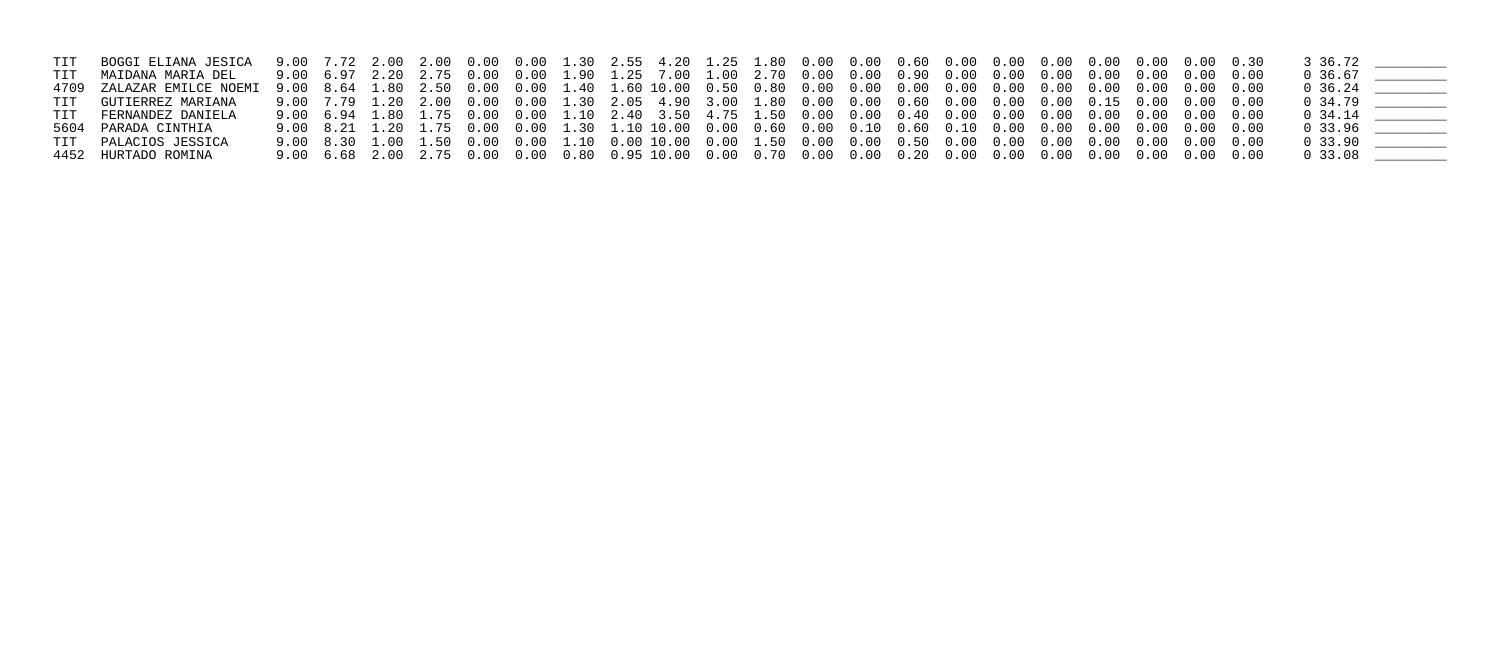| TIT BOGGI ELIANA JESICA   |  |  |  |                                                                                                          |  |  |  |  |  |  | 3 36.72   |  |
|---------------------------|--|--|--|----------------------------------------------------------------------------------------------------------|--|--|--|--|--|--|-----------|--|
| TIT MAIDANA MARIA DEL     |  |  |  |                                                                                                          |  |  |  |  |  |  | 0 36.67   |  |
| 4709 ZALAZAR EMILCE NOEMI |  |  |  |                                                                                                          |  |  |  |  |  |  |           |  |
| TIT GUTIERREZ MARIANA     |  |  |  | 9.00 7.79 1.20 2.00 0.00 0.00 1.30 2.05 4.90 3.00 1.80 0.00 0.00 0.60 0.00 0.00 0.00 0.15 0.00 0.00 0.00 |  |  |  |  |  |  | 0 34.79   |  |
| TIT FERNANDEZ DANIELA     |  |  |  |                                                                                                          |  |  |  |  |  |  | 0 34.14   |  |
| 5604 PARADA CINTHIA       |  |  |  |                                                                                                          |  |  |  |  |  |  | 0, 33, 96 |  |
| TIT PALACIOS JESSICA      |  |  |  |                                                                                                          |  |  |  |  |  |  | 0, 33, 90 |  |
| 4452 HURTADO ROMINA       |  |  |  |                                                                                                          |  |  |  |  |  |  | 0, 33, 08 |  |